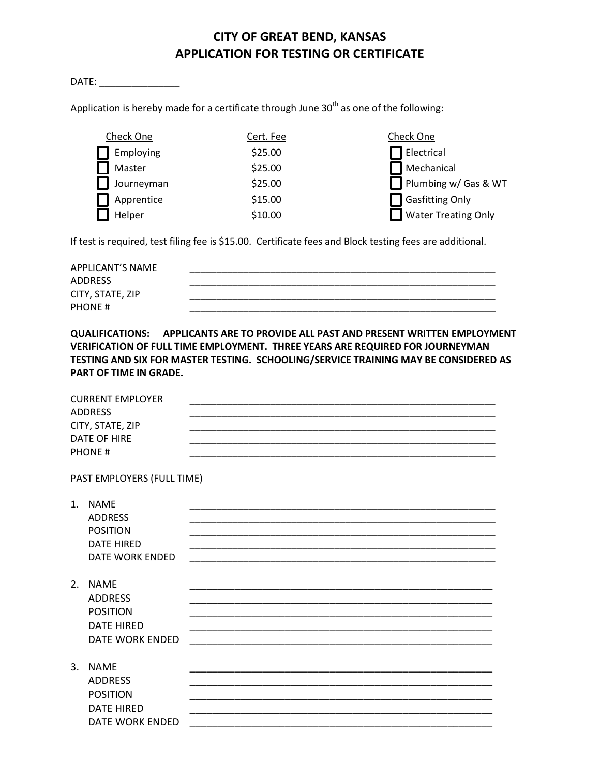## **CITY OF GREAT BEND, KANSAS APPLICATION FOR TESTING OR CERTIFICATE**

DATE: \_\_\_\_\_\_\_\_\_\_\_\_\_\_\_

Application is hereby made for a certificate through June  $30<sup>th</sup>$  as one of the following:

| Check One  | Cert. Fee | Check One                  |
|------------|-----------|----------------------------|
| Employing  | \$25.00   | <b>Electrical</b>          |
| Master     | \$25.00   | Mechanical                 |
| Journeyman | \$25.00   | Plumbing w/ Gas & WT       |
| Apprentice | \$15.00   | <b>1</b> Gasfitting Only   |
| Helper     | \$10.00   | <b>Water Treating Only</b> |

If test is required, test filing fee is \$15.00. Certificate fees and Block testing fees are additional.

| APPLICANT'S NAME |  |
|------------------|--|
| <b>ADDRESS</b>   |  |
| CITY, STATE, ZIP |  |
| <b>PHONE#</b>    |  |

**QUALIFICATIONS: APPLICANTS ARE TO PROVIDE ALL PAST AND PRESENT WRITTEN EMPLOYMENT VERIFICATION OF FULL TIME EMPLOYMENT. THREE YEARS ARE REQUIRED FOR JOURNEYMAN TESTING AND SIX FOR MASTER TESTING. SCHOOLING/SERVICE TRAINING MAY BE CONSIDERED AS PART OF TIME IN GRADE.**

|                | <b>CURRENT EMPLOYER</b><br><b>ADDRESS</b><br>CITY, STATE, ZIP<br>DATE OF HIRE<br><b>PHONE#</b>  |  |  |
|----------------|-------------------------------------------------------------------------------------------------|--|--|
|                | PAST EMPLOYERS (FULL TIME)                                                                      |  |  |
| $\mathbf{1}$ . | <b>NAME</b><br><b>ADDRESS</b><br><b>POSITION</b><br><b>DATE HIRED</b><br>DATE WORK ENDED        |  |  |
| 2.             | <b>NAME</b><br><b>ADDRESS</b><br><b>POSITION</b><br><b>DATE HIRED</b><br>DATE WORK ENDED        |  |  |
| 3.             | <b>NAME</b><br><b>ADDRESS</b><br><b>POSITION</b><br><b>DATE HIRED</b><br><b>DATE WORK ENDED</b> |  |  |